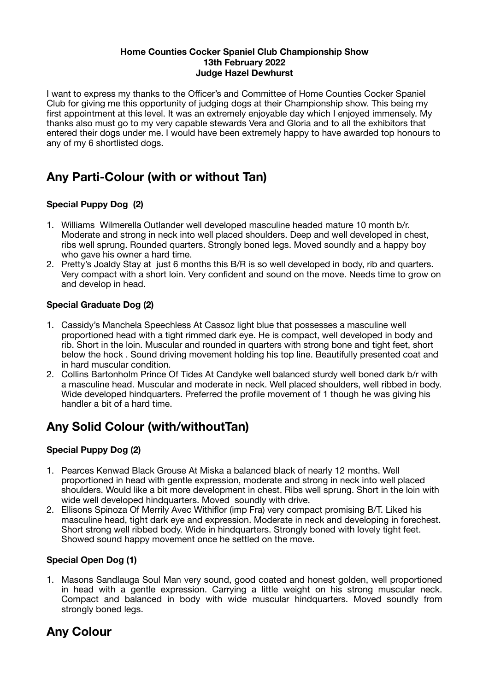#### **Home Counties Cocker Spaniel Club Championship Show 13th February 2022 Judge Hazel Dewhurst**

I want to express my thanks to the Officer's and Committee of Home Counties Cocker Spaniel Club for giving me this opportunity of judging dogs at their Championship show. This being my first appointment at this level. It was an extremely enjoyable day which I enjoyed immensely. My thanks also must go to my very capable stewards Vera and Gloria and to all the exhibitors that entered their dogs under me. I would have been extremely happy to have awarded top honours to any of my 6 shortlisted dogs.

# **Any Parti-Colour (with or without Tan)**

# **Special Puppy Dog (2)**

- 1. Williams Wilmerella Outlander well developed masculine headed mature 10 month b/r. Moderate and strong in neck into well placed shoulders. Deep and well developed in chest, ribs well sprung. Rounded quarters. Strongly boned legs. Moved soundly and a happy boy who gave his owner a hard time.
- 2. Pretty's Joaldy Stay at just 6 months this B/R is so well developed in body, rib and quarters. Very compact with a short loin. Very confident and sound on the move. Needs time to grow on and develop in head.

## **Special Graduate Dog (2)**

- 1. Cassidy's Manchela Speechless At Cassoz light blue that possesses a masculine well proportioned head with a tight rimmed dark eye. He is compact, well developed in body and rib. Short in the loin. Muscular and rounded in quarters with strong bone and tight feet, short below the hock . Sound driving movement holding his top line. Beautifully presented coat and in hard muscular condition.
- 2. Collins Bartonholm Prince Of Tides At Candyke well balanced sturdy well boned dark b/r with a masculine head. Muscular and moderate in neck. Well placed shoulders, well ribbed in body. Wide developed hindquarters. Preferred the profile movement of 1 though he was giving his handler a bit of a hard time.

# **Any Solid Colour (with/withoutTan)**

## **Special Puppy Dog (2)**

- 1. Pearces Kenwad Black Grouse At Miska a balanced black of nearly 12 months. Well proportioned in head with gentle expression, moderate and strong in neck into well placed shoulders. Would like a bit more development in chest. Ribs well sprung. Short in the loin with wide well developed hindquarters. Moved soundly with drive.
- 2. Ellisons Spinoza Of Merrily Avec Withiflor (imp Fra) very compact promising B/T. Liked his masculine head, tight dark eye and expression. Moderate in neck and developing in forechest. Short strong well ribbed body. Wide in hindquarters. Strongly boned with lovely tight feet. Showed sound happy movement once he settled on the move.

## **Special Open Dog (1)**

1. Masons Sandlauga Soul Man very sound, good coated and honest golden, well proportioned in head with a gentle expression. Carrying a little weight on his strong muscular neck. Compact and balanced in body with wide muscular hindquarters. Moved soundly from strongly boned legs.

# **Any Colour**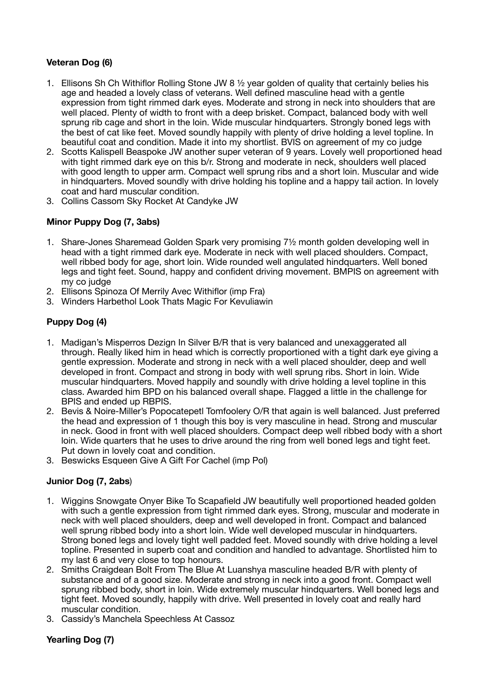#### **Veteran Dog (6)**

- 1. Ellisons Sh Ch Withiflor Rolling Stone JW 8 ½ year golden of quality that certainly belies his age and headed a lovely class of veterans. Well defined masculine head with a gentle expression from tight rimmed dark eyes. Moderate and strong in neck into shoulders that are well placed. Plenty of width to front with a deep brisket. Compact, balanced body with well sprung rib cage and short in the loin. Wide muscular hindquarters. Strongly boned legs with the best of cat like feet. Moved soundly happily with plenty of drive holding a level topline. In beautiful coat and condition. Made it into my shortlist. BVIS on agreement of my co judge
- 2. Scotts Kalispell Beaspoke JW another super veteran of 9 years. Lovely well proportioned head with tight rimmed dark eye on this b/r. Strong and moderate in neck, shoulders well placed with good length to upper arm. Compact well sprung ribs and a short loin. Muscular and wide in hindquarters. Moved soundly with drive holding his topline and a happy tail action. In lovely coat and hard muscular condition.
- 3. Collins Cassom Sky Rocket At Candyke JW

#### **Minor Puppy Dog (7, 3abs)**

- 1. Share-Jones Sharemead Golden Spark very promising 7½ month golden developing well in head with a tight rimmed dark eye. Moderate in neck with well placed shoulders. Compact, well ribbed body for age, short loin. Wide rounded well angulated hindquarters. Well boned legs and tight feet. Sound, happy and confident driving movement. BMPIS on agreement with my co judge
- 2. Ellisons Spinoza Of Merrily Avec Withiflor (imp Fra)
- 3. Winders Harbethol Look Thats Magic For Kevuliawin

#### **Puppy Dog (4)**

- 1. Madigan's Misperros Dezign In Silver B/R that is very balanced and unexaggerated all through. Really liked him in head which is correctly proportioned with a tight dark eye giving a gentle expression. Moderate and strong in neck with a well placed shoulder, deep and well developed in front. Compact and strong in body with well sprung ribs. Short in loin. Wide muscular hindquarters. Moved happily and soundly with drive holding a level topline in this class. Awarded him BPD on his balanced overall shape. Flagged a little in the challenge for BPIS and ended up RBPIS.
- 2. Bevis & Noire-Miller's Popocatepetl Tomfoolery O/R that again is well balanced. Just preferred the head and expression of 1 though this boy is very masculine in head. Strong and muscular in neck. Good in front with well placed shoulders. Compact deep well ribbed body with a short loin. Wide quarters that he uses to drive around the ring from well boned legs and tight feet. Put down in lovely coat and condition.
- 3. Beswicks Esqueen Give A Gift For Cachel (imp Pol)

#### **Junior Dog (7, 2abs**)

- 1. Wiggins Snowgate Onyer Bike To Scapafield JW beautifully well proportioned headed golden with such a gentle expression from tight rimmed dark eyes. Strong, muscular and moderate in neck with well placed shoulders, deep and well developed in front. Compact and balanced well sprung ribbed body into a short loin. Wide well developed muscular in hindquarters. Strong boned legs and lovely tight well padded feet. Moved soundly with drive holding a level topline. Presented in superb coat and condition and handled to advantage. Shortlisted him to my last 6 and very close to top honours.
- 2. Smiths Craigdean Bolt From The Blue At Luanshya masculine headed B/R with plenty of substance and of a good size. Moderate and strong in neck into a good front. Compact well sprung ribbed body, short in loin. Wide extremely muscular hindquarters. Well boned legs and tight feet. Moved soundly, happily with drive. Well presented in lovely coat and really hard muscular condition.
- 3. Cassidy's Manchela Speechless At Cassoz

#### **Yearling Dog (7)**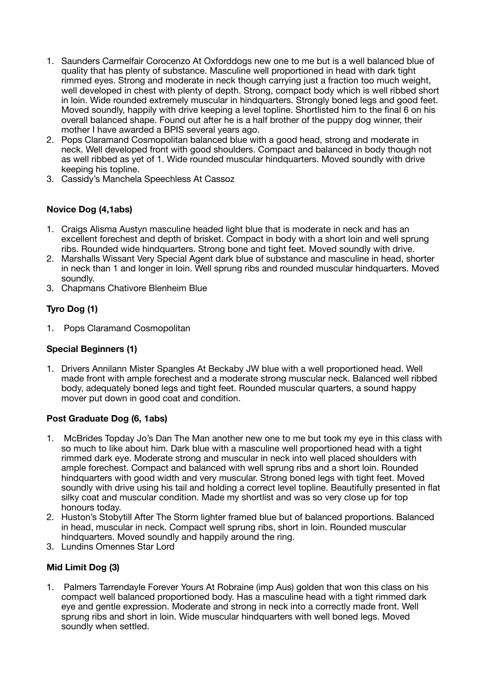- 1. Saunders Carmelfair Corocenzo At Oxforddogs new one to me but is a well balanced blue of quality that has plenty of substance. Masculine well proportioned in head with dark tight rimmed eyes. Strong and moderate in neck though carrying just a fraction too much weight, well developed in chest with plenty of depth. Strong, compact body which is well ribbed short in loin. Wide rounded extremely muscular in hindquarters. Strongly boned legs and good feet. Moved soundly, happily with drive keeping a level topline. Shortlisted him to the final 6 on his overall balanced shape. Found out after he is a half brother of the puppy dog winner, their mother I have awarded a BPIS several years ago.
- 2. Pops Claramand Cosmopolitan balanced blue with a good head, strong and moderate in neck. Well developed front with good shoulders. Compact and balanced in body though not as well ribbed as yet of 1. Wide rounded muscular hindquarters. Moved soundly with drive keeping his topline.
- 3. Cassidy's Manchela Speechless At Cassoz

#### **Novice Dog (4,1abs)**

- 1. Craigs Alisma Austyn masculine headed light blue that is moderate in neck and has an excellent forechest and depth of brisket. Compact in body with a short loin and well sprung ribs. Rounded wide hindquarters. Strong bone and tight feet. Moved soundly with drive.
- 2. Marshalls Wissant Very Special Agent dark blue of substance and masculine in head, shorter in neck than 1 and longer in loin. Well sprung ribs and rounded muscular hindquarters. Moved soundly.
- 3. Chapmans Chativore Blenheim Blue

# **Tyro Dog (1)**

1. Pops Claramand Cosmopolitan

#### **Special Beginners (1)**

1. Drivers Annilann Mister Spangles At Beckaby JW blue with a well proportioned head. Well made front with ample forechest and a moderate strong muscular neck. Balanced well ribbed body, adequately boned legs and tight feet. Rounded muscular quarters, a sound happy mover put down in good coat and condition.

#### **Post Graduate Dog (6, 1abs)**

- 1. McBrides Topday Jo's Dan The Man another new one to me but took my eye in this class with so much to like about him. Dark blue with a masculine well proportioned head with a tight rimmed dark eye. Moderate strong and muscular in neck into well placed shoulders with ample forechest. Compact and balanced with well sprung ribs and a short loin. Rounded hindquarters with good width and very muscular. Strong boned legs with tight feet. Moved soundly with drive using his tail and holding a correct level topline. Beautifully presented in flat silky coat and muscular condition. Made my shortlist and was so very close up for top honours today.
- 2. Huston's Stobytill After The Storm lighter framed blue but of balanced proportions. Balanced in head, muscular in neck. Compact well sprung ribs, short in loin. Rounded muscular hindquarters. Moved soundly and happily around the ring.
- 3. Lundins Omennes Star Lord

## **Mid Limit Dog (3)**

1. Palmers Tarrendayle Forever Yours At Robraine (imp Aus) golden that won this class on his compact well balanced proportioned body. Has a masculine head with a tight rimmed dark eye and gentle expression. Moderate and strong in neck into a correctly made front. Well sprung ribs and short in loin. Wide muscular hindquarters with well boned legs. Moved soundly when settled.